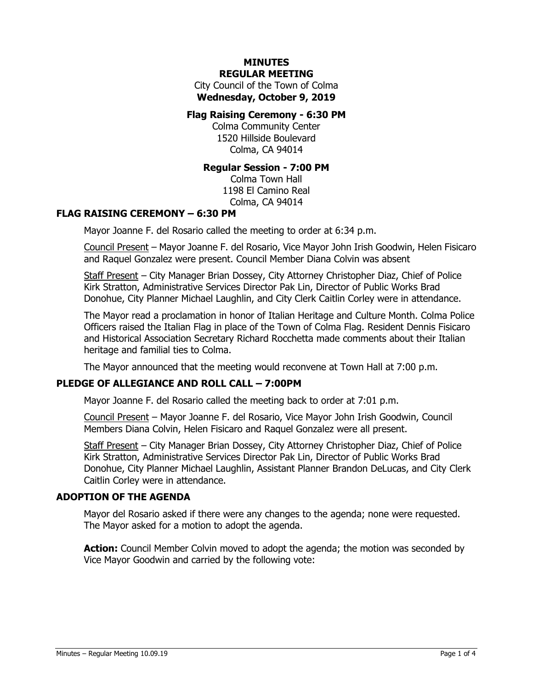#### **MINUTES REGULAR MEETING**

City Council of the Town of Colma **Wednesday, October 9, 2019**

#### **Flag Raising Ceremony - 6:30 PM**

Colma Community Center 1520 Hillside Boulevard Colma, CA 94014

#### **Regular Session - 7:00 PM**

Colma Town Hall 1198 El Camino Real Colma, CA 94014

# **FLAG RAISING CEREMONY – 6:30 PM**

Mayor Joanne F. del Rosario called the meeting to order at 6:34 p.m.

Council Present – Mayor Joanne F. del Rosario, Vice Mayor John Irish Goodwin, Helen Fisicaro and Raquel Gonzalez were present. Council Member Diana Colvin was absent

Staff Present – City Manager Brian Dossey, City Attorney Christopher Diaz, Chief of Police Kirk Stratton, Administrative Services Director Pak Lin, Director of Public Works Brad Donohue, City Planner Michael Laughlin, and City Clerk Caitlin Corley were in attendance.

The Mayor read a proclamation in honor of Italian Heritage and Culture Month. Colma Police Officers raised the Italian Flag in place of the Town of Colma Flag. Resident Dennis Fisicaro and Historical Association Secretary Richard Rocchetta made comments about their Italian heritage and familial ties to Colma.

The Mayor announced that the meeting would reconvene at Town Hall at 7:00 p.m.

# **PLEDGE OF ALLEGIANCE AND ROLL CALL – 7:00PM**

Mayor Joanne F. del Rosario called the meeting back to order at 7:01 p.m.

Council Present – Mayor Joanne F. del Rosario, Vice Mayor John Irish Goodwin, Council Members Diana Colvin, Helen Fisicaro and Raquel Gonzalez were all present.

Staff Present – City Manager Brian Dossey, City Attorney Christopher Diaz, Chief of Police Kirk Stratton, Administrative Services Director Pak Lin, Director of Public Works Brad Donohue, City Planner Michael Laughlin, Assistant Planner Brandon DeLucas, and City Clerk Caitlin Corley were in attendance.

#### **ADOPTION OF THE AGENDA**

Mayor del Rosario asked if there were any changes to the agenda; none were requested. The Mayor asked for a motion to adopt the agenda.

**Action:** Council Member Colvin moved to adopt the agenda; the motion was seconded by Vice Mayor Goodwin and carried by the following vote: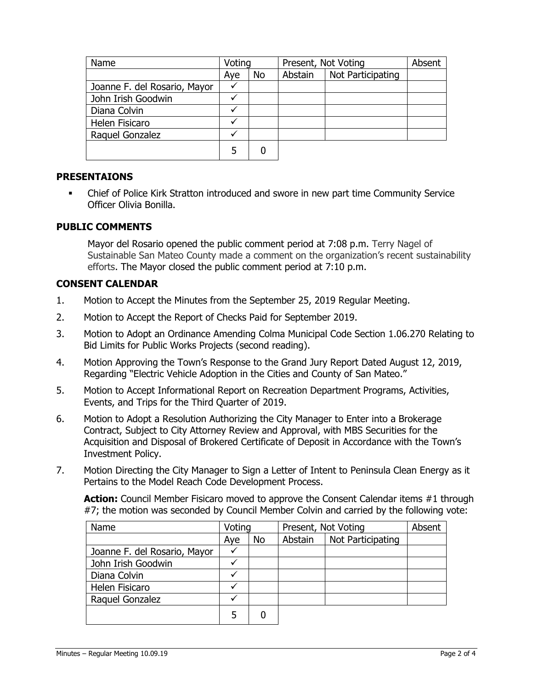| Name                         | Voting |           | Present, Not Voting |                   | Absent |
|------------------------------|--------|-----------|---------------------|-------------------|--------|
|                              | Aye    | <b>No</b> | Abstain             | Not Participating |        |
| Joanne F. del Rosario, Mayor | v      |           |                     |                   |        |
| John Irish Goodwin           |        |           |                     |                   |        |
| Diana Colvin                 |        |           |                     |                   |        |
| Helen Fisicaro               |        |           |                     |                   |        |
| Raquel Gonzalez              |        |           |                     |                   |        |
|                              | 5      | 0         |                     |                   |        |

# **PRESENTAIONS**

**•** Chief of Police Kirk Stratton introduced and swore in new part time Community Service Officer Olivia Bonilla.

# **PUBLIC COMMENTS**

Mayor del Rosario opened the public comment period at 7:08 p.m. Terry Nagel of Sustainable San Mateo County made a comment on the organization's recent sustainability efforts. The Mayor closed the public comment period at 7:10 p.m.

# **CONSENT CALENDAR**

- 1. Motion to Accept the Minutes from the September 25, 2019 Regular Meeting.
- 2. Motion to Accept the Report of Checks Paid for September 2019.
- 3. Motion to Adopt an Ordinance Amending Colma Municipal Code Section 1.06.270 Relating to Bid Limits for Public Works Projects (second reading).
- 4. Motion Approving the Town's Response to the Grand Jury Report Dated August 12, 2019, Regarding "Electric Vehicle Adoption in the Cities and County of San Mateo."
- 5. Motion to Accept Informational Report on Recreation Department Programs, Activities, Events, and Trips for the Third Quarter of 2019.
- 6. Motion to Adopt a Resolution Authorizing the City Manager to Enter into a Brokerage Contract, Subject to City Attorney Review and Approval, with MBS Securities for the Acquisition and Disposal of Brokered Certificate of Deposit in Accordance with the Town's Investment Policy.
- 7. Motion Directing the City Manager to Sign a Letter of Intent to Peninsula Clean Energy as it Pertains to the Model Reach Code Development Process.

**Action:** Council Member Fisicaro moved to approve the Consent Calendar items #1 through #7; the motion was seconded by Council Member Colvin and carried by the following vote:

| Name                         | Voting |    | Present, Not Voting |                   | Absent |
|------------------------------|--------|----|---------------------|-------------------|--------|
|                              | Aye    | No | Abstain             | Not Participating |        |
| Joanne F. del Rosario, Mayor |        |    |                     |                   |        |
| John Irish Goodwin           |        |    |                     |                   |        |
| Diana Colvin                 |        |    |                     |                   |        |
| Helen Fisicaro               |        |    |                     |                   |        |
| Raquel Gonzalez              |        |    |                     |                   |        |
|                              | 5      | 0  |                     |                   |        |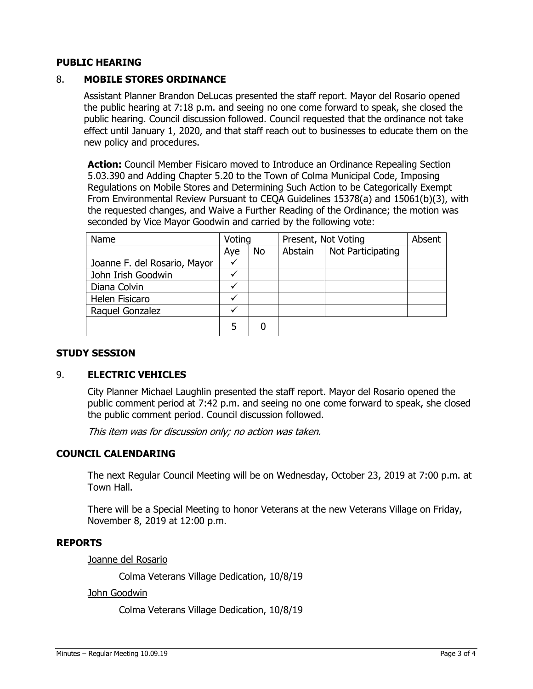# **PUBLIC HEARING**

# 8. **MOBILE STORES ORDINANCE**

Assistant Planner Brandon DeLucas presented the staff report. Mayor del Rosario opened the public hearing at 7:18 p.m. and seeing no one come forward to speak, she closed the public hearing. Council discussion followed. Council requested that the ordinance not take effect until January 1, 2020, and that staff reach out to businesses to educate them on the new policy and procedures.

**Action:** Council Member Fisicaro moved to Introduce an Ordinance Repealing Section 5.03.390 and Adding Chapter 5.20 to the Town of Colma Municipal Code, Imposing Regulations on Mobile Stores and Determining Such Action to be Categorically Exempt From Environmental Review Pursuant to CEQA Guidelines 15378(a) and 15061(b)(3), with the requested changes, and Waive a Further Reading of the Ordinance; the motion was seconded by Vice Mayor Goodwin and carried by the following vote:

| Name                         | Voting |    | Present, Not Voting |                   | Absent |
|------------------------------|--------|----|---------------------|-------------------|--------|
|                              | Aye    | No | Abstain             | Not Participating |        |
| Joanne F. del Rosario, Mayor | ✓      |    |                     |                   |        |
| John Irish Goodwin           |        |    |                     |                   |        |
| Diana Colvin                 |        |    |                     |                   |        |
| Helen Fisicaro               |        |    |                     |                   |        |
| Raquel Gonzalez              |        |    |                     |                   |        |
|                              |        |    |                     |                   |        |

# **STUDY SESSION**

# 9. **ELECTRIC VEHICLES**

City Planner Michael Laughlin presented the staff report. Mayor del Rosario opened the public comment period at 7:42 p.m. and seeing no one come forward to speak, she closed the public comment period. Council discussion followed.

This item was for discussion only; no action was taken.

# **COUNCIL CALENDARING**

The next Regular Council Meeting will be on Wednesday, October 23, 2019 at 7:00 p.m. at Town Hall.

There will be a Special Meeting to honor Veterans at the new Veterans Village on Friday, November 8, 2019 at 12:00 p.m.

#### **REPORTS**

Joanne del Rosario

Colma Veterans Village Dedication, 10/8/19

#### John Goodwin

Colma Veterans Village Dedication, 10/8/19